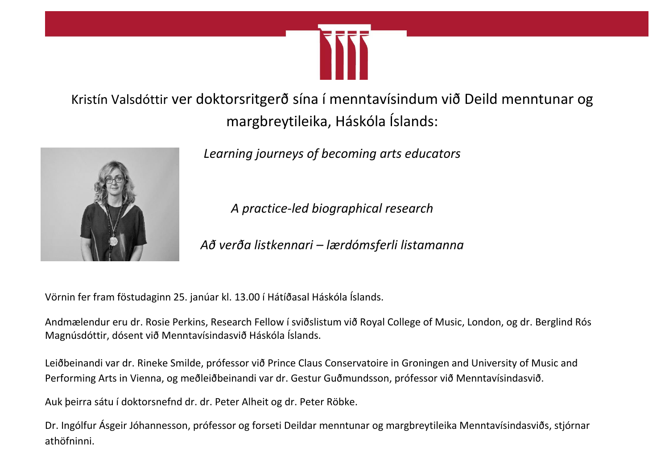

Kristín Valsdóttir ver doktorsritgerð sína í menntavísindum við Deild menntunar og margbreytileika, Háskóla Íslands:



*Learning journeys of becoming arts educators*

*A practice-led biographical research*

*Að verða listkennari – lærdómsferli listamanna*

Vörnin fer fram föstudaginn 25. janúar kl. 13.00 í Hátíðasal Háskóla Íslands.

Andmælendur eru dr. Rosie Perkins, Research Fellow í sviðslistum við Royal College of Music, London, og dr. Berglind Rós Magnúsdóttir, dósent við Menntavísindasvið Háskóla Íslands.

Leiðbeinandi var dr. Rineke Smilde, prófessor við Prince Claus Conservatoire in Groningen and University of Music and Performing Arts in Vienna, og meðleiðbeinandi var dr. Gestur Guðmundsson, prófessor við Menntavísindasvið.

Auk þeirra sátu í doktorsnefnd dr. dr. Peter Alheit og dr. Peter Röbke.

Dr. Ingólfur Ásgeir Jóhannesson, prófessor og forseti Deildar menntunar og margbreytileika Menntavísindasviðs, stjórnar athöfninni.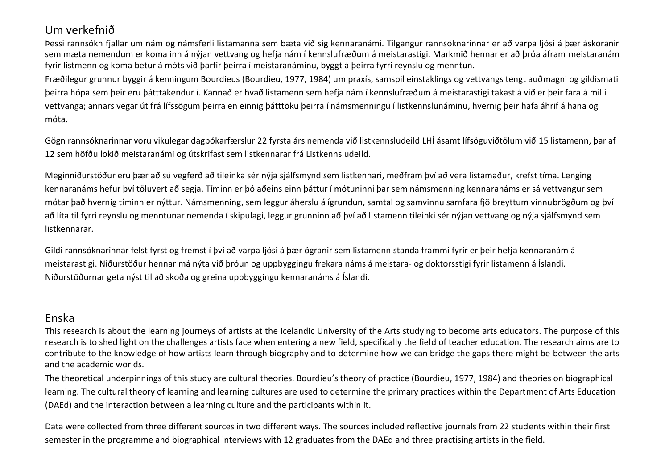## Um verkefnið

Þessi rannsókn fjallar um nám og námsferli listamanna sem bæta við sig kennaranámi. Tilgangur rannsóknarinnar er að varpa ljósi á þær áskoranir sem mæta nemendum er koma inn á nýjan vettvang og hefja nám í kennslufræðum á meistarastigi. Markmið hennar er að þróa áfram meistaranám fyrir listmenn og koma betur á móts við þarfir þeirra í meistaranáminu, byggt á þeirra fyrri reynslu og menntun.

Fræðilegur grunnur byggir á kenningum Bourdieus (Bourdieu, 1977, 1984) um praxís, samspil einstaklings og vettvangs tengt auðmagni og gildismati þeirra hópa sem þeir eru þátttakendur í. Kannað er hvað listamenn sem hefja nám í kennslufræðum á meistarastigi takast á við er þeir fara á milli vettvanga; annars vegar út frá lífssögum þeirra en einnig þátttöku þeirra í námsmenningu í listkennslunáminu, hvernig þeir hafa áhrif á hana og móta.

Gögn rannsóknarinnar voru vikulegar dagbókarfærslur 22 fyrsta árs nemenda við listkennsludeild LHÍ ásamt lífsöguviðtölum við 15 listamenn, þar af 12 sem höfðu lokið meistaranámi og útskrifast sem listkennarar frá Listkennsludeild.

Meginniðurstöður eru þær að sú vegferð að tileinka sér nýja sjálfsmynd sem listkennari, meðfram því að vera listamaður, krefst tíma. Lenging kennaranáms hefur því töluvert að segja. Tíminn er þó aðeins einn þáttur í mótuninni þar sem námsmenning kennaranáms er sá vettvangur sem mótar það hvernig tíminn er nýttur. Námsmenning, sem leggur áherslu á ígrundun, samtal og samvinnu samfara fjölbreyttum vinnubrögðum og því að líta til fyrri reynslu og menntunar nemenda í skipulagi, leggur grunninn að því að listamenn tileinki sér nýjan vettvang og nýja sjálfsmynd sem listkennarar.

Gildi rannsóknarinnar felst fyrst og fremst í því að varpa ljósi á þær ögranir sem listamenn standa frammi fyrir er þeir hefja kennaranám á meistarastigi. Niðurstöður hennar má nýta við þróun og uppbyggingu frekara náms á meistara- og doktorsstigi fyrir listamenn á Íslandi. Niðurstöðurnar geta nýst til að skoða og greina uppbyggingu kennaranáms á Íslandi.

## Enska

This research is about the learning journeys of artists at the Icelandic University of the Arts studying to become arts educators. The purpose of this research is to shed light on the challenges artists face when entering a new field, specifically the field of teacher education. The research aims are to contribute to the knowledge of how artists learn through biography and to determine how we can bridge the gaps there might be between the arts and the academic worlds.

The theoretical underpinnings of this study are cultural theories. Bourdieu's theory of practice (Bourdieu, 1977, 1984) and theories on biographical learning. The cultural theory of learning and learning cultures are used to determine the primary practices within the Department of Arts Education (DAEd) and the interaction between a learning culture and the participants within it.

Data were collected from three different sources in two different ways. The sources included reflective journals from 22 students within their first semester in the programme and biographical interviews with 12 graduates from the DAEd and three practising artists in the field.